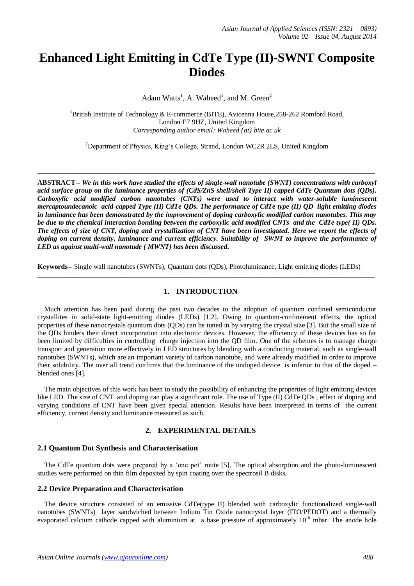# **Enhanced Light Emitting in CdTe Type (II)-SWNT Composite Diodes**

Adam Watts<sup>1</sup>, A. Waheed<sup>1</sup>, and M. Green<sup>2</sup>

<sup>1</sup>British Institute of Technology & E-commerce (BITE), Avicenna House, 258-262 Romford Road, London E7 9HZ, United Kingdom *Corresponding author email: Waheed {at} bite.ac.uk*

<sup>2</sup>Department of Physics, King's College, Strand, London WC2R 2LS, United Kingdom

**\_\_\_\_\_\_\_\_\_\_\_\_\_\_\_\_\_\_\_\_\_\_\_\_\_\_\_\_\_\_\_\_\_\_\_\_\_\_\_\_\_\_\_\_\_\_\_\_\_\_\_\_\_\_\_\_\_\_\_\_\_\_\_\_\_\_\_\_\_\_\_\_\_\_\_\_\_\_\_\_\_\_\_\_\_\_\_\_\_\_\_\_\_\_\_\_\_**

**ABSTRACT--** *We in this work have studied the effects of single-wall nanotube (SWNT) concentrations with carboxyl acid surface group on the luminance properties of (CdS/ZnS shell/shell Type II) capped CdTe Quantum dots (QDs). Carboxylic acid modified carbon nanotubes (CNTs) were used to interact with water-soluble luminescent mercaptoundecanoic acid-capped Type (II) CdTe QDs. The performance of CdTe type (II) QD light emitting diodes in luminance has been demonstrated by the improvement of doping carboxylic modified carbon nanotubes. This may be due to the chemical interaction bonding between the carboxylic acid modified CNTs and the CdTe type( II) QDs. The effects of size of CNT, doping and crystallization of CNT have been investigated. Here we report the effects of doping on current density, luminance and current efficiency. Suitability of SWNT to improve the performance of LED as against multi-wall nanotude ( MWNT) has been discussed***.**

**Keywords--** Single wall nanotubes (SWNTs), Quantum dots (QDs), Photoluminance, Light emitting diodes (LEDs)

## **1. INTRODUCTION**

 $\_$  , and the set of the set of the set of the set of the set of the set of the set of the set of the set of the set of the set of the set of the set of the set of the set of the set of the set of the set of the set of th

 Much attention has been paid during the past two decades to the adoption of quantum confined semiconductor crystallites in solid-state light-emitting diodes (LEDs) [1,2]. Owing to quantum-confinement effects, the optical properties of these nanocrystals quantum dots (QDs) can be tuned in by varying the crystal size [3]. But the small size of the QDs hinders their direct incorporation into electronic devices. However, the efficiency of these devices has so far been limited by difficulties in controlling charge injection into the QD film. One of the schemes is to manage charge transport and generation more effectively in LED structures by blending with a conducting material, such as single-wall nanotubes (SWNTs), which are an important variety of carbon nanotube, and were already modified in order to improve their solubility. The over all trend confirms that the luminance of the undoped device is inferior to that of the doped – blended ones [4].

 The main objectives of this work has been to study the possibility of enhancing the properties of light emitting devices like LED. The size of CNT and doping can play a significant role. The use of Type (II) CdTe QDs , effect of doping and varying conditions of CNT have been given special attention. Results have been interpreted in terms of the current efficiency, current density and luminance measured as such.

# **2. EXPERIMENTAL DETAILS**

## **2.1 Quantum Dot Synthesis and Characterisation**

 The CdTe quantum dots were prepared by a 'one pot' route [5]. The optical absorption and the photo-luminescent studies were performed on thin film deposited by spin coating over the spectrosil B disks.

## **2.2 Device Preparation and Characterisation**

 The device structure consisted of an emissive CdTe(type II) blended with carboxylic functionalized single-wall nanotubes (SWNTs) layer sandwiched between Indium Tin Oxide nanocrystal layer (ITO/PEDOT) and a thermally evaporated calcium cathode capped with aluminium at a base pressure of approximately  $10^{-6}$  mbar. The anode hole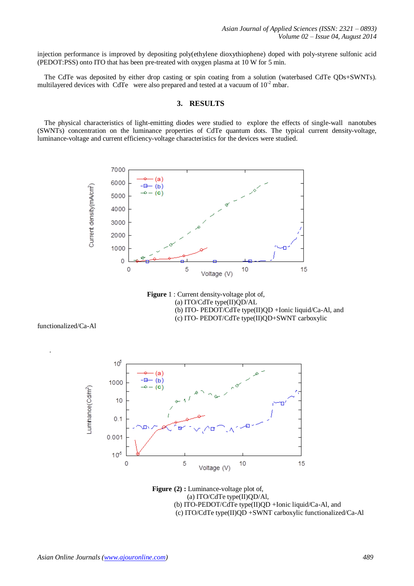injection performance is improved by depositing poly(ethylene dioxythiophene) doped with poly-styrene sulfonic acid (PEDOT:PSS) onto ITO that has been pre-treated with oxygen plasma at 10 W for 5 min.

 The CdTe was deposited by either drop casting or spin coating from a solution (waterbased CdTe QDs+SWNTs). multilayered devices with CdTe were also prepared and tested at a vacuum of  $10^{-2}$  mbar.

#### **3. RESULTS**

 The physical characteristics of light-emitting diodes were studied to explore the effects of single-wall nanotubes (SWNTs) concentration on the luminance properties of CdTe quantum dots. The typical current density-voltage, luminance-voltage and current efficiency-voltage characteristics for the devices were studied.



**Figure** 1 : Current density-voltage plot of, (a) ITO/CdTe type(II)QD/AL (b) ITO- PEDOT/CdTe type(II)QD +Ionic liquid/Ca-Al, and (c) ITO- PEDOT/CdTe type(II)QD+SWNT carboxylic

functionalized/Ca-Al

.



 **Figure (2) :** Luminance-voltage plot of, (a) ITO/CdTe type(II)QD/Al, (b) ITO-PEDOT/CdTe type(II)QD +Ionic liquid/Ca-Al, and (c) ITO/CdTe type(II)QD +SWNT carboxylic functionalized/Ca-Al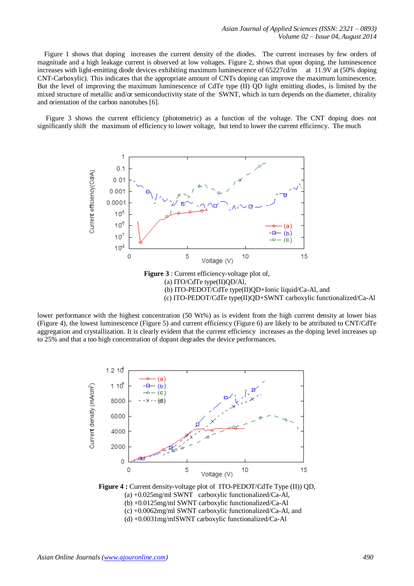Figure 1 shows that doping increases the current density of the diodes. The current increases by few orders of magnitude and a high leakage current is observed at low voltages. Figure 2, shows that upon doping, the luminescence increases with light-emitting diode devices exhibiting maximum luminescence of 65227cd/m at 11.9V at (50% doping CNT-Carboxylic). This indicates that the appropriate amount of CNTs doping can improve the maximum luminescence. But the level of improving the maximum luminescence of CdTe type (II) QD light emitting diodes, is limited by the mixed structure of metallic and/or semiconductivity state of the SWNT, which in turn depends on the diameter, chirality and orientation of the carbon nanotubes [6].

 Figure 3 shows the current efficiency (photometric) as a function of the voltage. The CNT doping does not significantly shift the maximum of efficiency to lower voltage, but tend to lower the current efficiency. The much



lower performance with the highest concentration (50 Wt%) as is evident from the high current density at lower bias (Figure 4), the lowest luminescence (Figure 5) and current efficiency (Figure 6) are likely to be attributed to CNT/CdTe aggregation and crystallization. It is clearly evident that the current efficiency increases as the doping level increases up to 25% and that a too high concentration of dopant degrades the device performances.



**Figure 4 :** Current density-voltage plot of ITO-PEDOT/CdTe Type (II)) QD, (a) +0.025mg/ml SWNT carboxylic functionalized/Ca-Al, (b) +0.0125mg/ml SWNT carboxylic functionalized/Ca-Al (c) +0.0062mg/ml SWNT carboxylic functionalized/Ca-Al, and (d) +0.0031mg/mlSWNT carboxylic functionalized/Ca-Al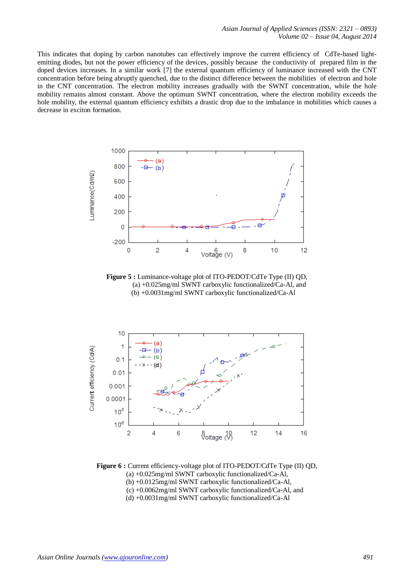This indicates that doping by carbon nanotubes can effectively improve the current efficiency of CdTe-based lightemitting diodes, but not the power efficiency of the devices, possibly because the conductivity of prepared film in the doped devices increases. In a similar work [7] the external quantum efficiency of luminance increased with the CNT concentration before being abruptly quenched, due to the distinct difference between the mobilities of electron and hole in the CNT concentration. The electron mobility increases gradually with the SWNT concentration, while the hole mobility remains almost constant. Above the optimum SWNT concentration, where the electron mobility exceeds the hole mobility, the external quantum efficiency exhibits a drastic drop due to the imbalance in mobilities which causes a decrease in exciton formation.



**Figure 5 :** Luminance-voltage plot of ITO-PEDOT/CdTe Type (II) QD, (a) +0.025mg/ml SWNT carboxylic functionalized/Ca-Al, and (b) +0.0031mg/ml SWNT carboxylic functionalized/Ca-Al



**Figure 6 :** Current efficiency-voltage plot of ITO-PEDOT/CdTe Type (II) QD, (a) +0.025mg/ml SWNT carboxylic functionalized/Ca-Al, (b) +0.0125mg/ml SWNT carboxylic functionalized/Ca-Al, (c) +0.0062mg/ml SWNT carboxylic functionalized/Ca-Al, and (d) +0.0031mg/ml SWNT carboxylic functionalized/Ca-Al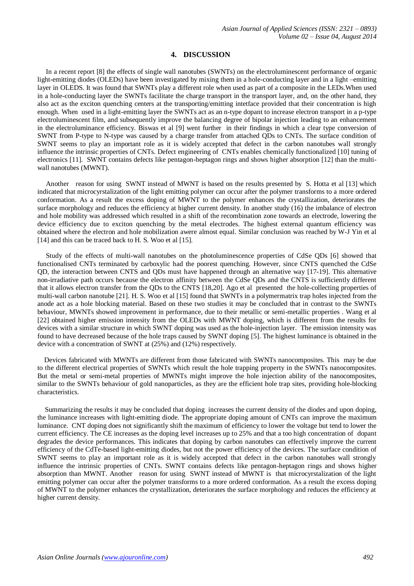## **4. DISCUSSION**

 In a recent report [8] the effects of single wall nanotubes (SWNTs) on the electroluminescent performance of organic light-emitting diodes (OLEDs) have been investigated by mixing them in a hole-conducting layer and in a light –emitting layer in OLEDS. It was found that SWNTs play a different role when used as part of a composite in the LEDs.When used in a hole-conducting layer the SWNTs facilitate the charge transport in the transport layer, and, on the other hand, they also act as the exciton quenching centers at the transporting/emitting intetface provided that their concentration is high enough. When used in a light-emitting layer the SWNTs act as an n-type dopant to increase electron transport in a p-type electroluminescent film, and subsequently improve the balancing degree of bipolar injection leading to an enhancement in the electroluminance efficiency. Biswas et al [9] went further in their findings in which a clear type conversion of SWNT from P-type to N-type was caused by a charge transfer from attached QDs to CNTs. The surface condition of SWNT seems to play an important role as it is widely accepted that defect in the carbon nanotubes wall strongly influence the intrinsic properties of CNTs. Defect engineering of CNTs enables chemically functionalized [10] tuning of electronics [11]. SWNT contains defects like pentagon-heptagon rings and shows higher absorption [12] than the multiwall nanotubes (MWNT).

 Another reason for using SWNT instead of MWNT is based on the results presented by S. Hotta et al [13] which indicated that microcyrstalization of the light emitting polymer can occur after the polymer transforms to a more ordered conformation. As a result the excess doping of MWNT to the polymer enhances the crystallization, deteriorates the surface morphology and reduces the efficiency at higher current density. In another study (16) the imbalance of electron and hole mobility was addressed which resulted in a shift of the recombination zone towards an electrode, lowering the device efficiency due to exciton quenching by the metal electrodes. The highest external quantum efficiency was obtained where the electron and hole mobilization awere almost equal. Similar conclusion was reached by W-J Yin et al [14] and this can be traced back to H. S. Woo et al [15].

 Study of the effects of multi-wall nanotubes on the photoluminescence properties of CdSe QDs [6] showed that functionalised CNTs terminated by carboxylic had the poorest quenching. However, since CNTS quenched the CdSe QD, the interaction between CNTS and QDs must have happened through an alternative way [17-19]. This alternative non-irradiative path occurs because the electron affinity between the CdSe QDs and the CNTS is sufficiently different that it allows electron transfer from the QDs to the CNTS [18,20]. Ago et al presented the hole-collecting properties of multi-wall carbon nanotube [21]. H. S. Woo et al [15] found that SWNTs in a polymermatrix trap holes injected from the anode act as a hole blocking material. Based on these two studies it may be concluded that in contrast to the SWNTs behaviour, MWNTs showed improvement in performance, due to their metallic or semi-metallic properties . Wang et al [22] obtained higher emission intensity from the OLEDs with MWNT doping, which is different from the results for devices with a similar structure in which SWNT doping was used as the hole-injection layer. The emission intensity was found to have decreased because of the hole traps caused by SWNT doping [5]. The highest luminance is obtained in the device with a concentration of SWNT at (25%) and (12%) respectively.

 Devices fabricated with MWNTs are different from those fabricated with SWNTs nanocomposites. This may be due to the different electrical properties of SWNTs which result the hole trapping property in the SWNTs nanocomposites. But the metal or semi-metal properties of MWNTs might improve the hole injection ability of the nanocomposites, similar to the SWNTs behaviour of gold nanoparticles, as they are the efficient hole trap sites, providing hole-blocking characteristics.

 Summarizing the results it may be concluded that doping increases the current density of the diodes and upon doping, the luminance increases with light-emitting diode. The appropriate doping amount of CNTs can improve the maximum luminance. CNT doping does not significantly shift the maximum of efficiency to lower the voltage but tend to lower the current efficiency. The CE increases as the doping level increases up to 25% and that a too high concentration of dopant degrades the device performances. This indicates that doping by carbon nanotubes can effectively improve the current efficiency of the CdTe-based light-emitting diodes, but not the power efficiency of the devices. The surface condition of SWNT seems to play an important role as it is widely accepted that defect in the carbon nanotubes wall strongly influence the intrinsic properties of CNTs. SWNT contains defects like pentagon-heptagon rings and shows higher absorption than MWNT. Another reason for using SWNT instead of MWNT is that microcyrstalization of the light emitting polymer can occur after the polymer transforms to a more ordered conformation. As a result the excess doping of MWNT to the polymer enhances the crystallization, deteriorates the surface morphology and reduces the efficiency at higher current density.